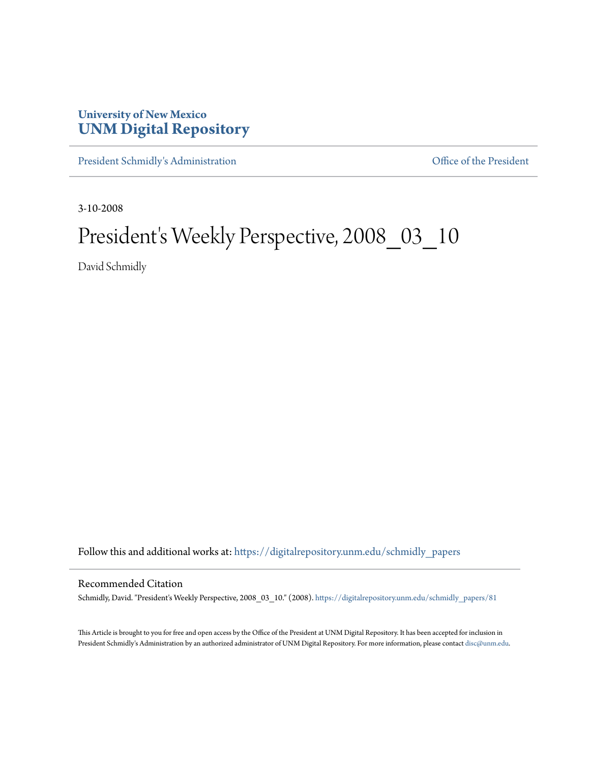## **University of New Mexico [UNM Digital Repository](https://digitalrepository.unm.edu?utm_source=digitalrepository.unm.edu%2Fschmidly_papers%2F81&utm_medium=PDF&utm_campaign=PDFCoverPages)**

[President Schmidly's Administration](https://digitalrepository.unm.edu/schmidly_papers?utm_source=digitalrepository.unm.edu%2Fschmidly_papers%2F81&utm_medium=PDF&utm_campaign=PDFCoverPages) [Office of the President](https://digitalrepository.unm.edu/ofc_president?utm_source=digitalrepository.unm.edu%2Fschmidly_papers%2F81&utm_medium=PDF&utm_campaign=PDFCoverPages)

3-10-2008

## President's Weekly Perspective, 2008\_03\_10

David Schmidly

Follow this and additional works at: [https://digitalrepository.unm.edu/schmidly\\_papers](https://digitalrepository.unm.edu/schmidly_papers?utm_source=digitalrepository.unm.edu%2Fschmidly_papers%2F81&utm_medium=PDF&utm_campaign=PDFCoverPages)

## Recommended Citation

Schmidly, David. "President's Weekly Perspective, 2008\_03\_10." (2008). [https://digitalrepository.unm.edu/schmidly\\_papers/81](https://digitalrepository.unm.edu/schmidly_papers/81?utm_source=digitalrepository.unm.edu%2Fschmidly_papers%2F81&utm_medium=PDF&utm_campaign=PDFCoverPages)

This Article is brought to you for free and open access by the Office of the President at UNM Digital Repository. It has been accepted for inclusion in President Schmidly's Administration by an authorized administrator of UNM Digital Repository. For more information, please contact [disc@unm.edu](mailto:disc@unm.edu).